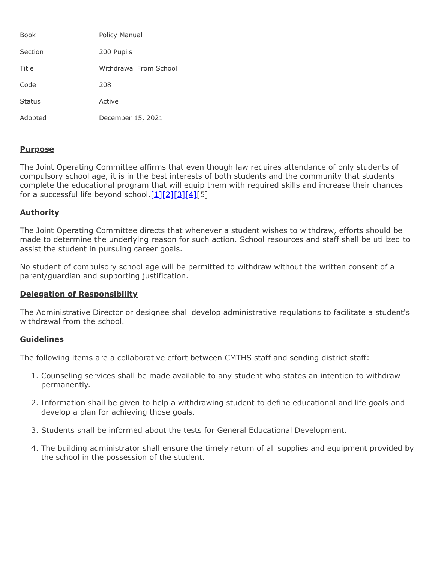| <b>Book</b>   | Policy Manual          |
|---------------|------------------------|
| Section       | 200 Pupils             |
| Title         | Withdrawal From School |
| Code          | 208                    |
| <b>Status</b> | Active                 |
| Adopted       | December 15, 2021      |

## **Purpose**

The Joint Operating Committee affirms that even though law requires attendance of only students of compulsory school age, it is in the best interests of both students and the community that students complete the educational program that will equip them with required skills and increase their chances for a successful life beyond school. $[1][2][3][4][5]$  $[1][2][3][4][5]$  $[1][2][3][4][5]$  $[1][2][3][4][5]$  $[1][2][3][4][5]$ 

## **Authority**

The Joint Operating Committee directs that whenever a student wishes to withdraw, efforts should be made to determine the underlying reason for such action. School resources and staff shall be utilized to assist the student in pursuing career goals.

No student of compulsory school age will be permitted to withdraw without the written consent of a parent/guardian and supporting justification.

## **Delegation of Responsibility**

The Administrative Director or designee shall develop administrative regulations to facilitate a student's withdrawal from the school.

## **Guidelines**

The following items are a collaborative effort between CMTHS staff and sending district staff:

- 1. Counseling services shall be made available to any student who states an intention to withdraw permanently.
- 2. Information shall be given to help a withdrawing student to define educational and life goals and develop a plan for achieving those goals.
- 3. Students shall be informed about the tests for General Educational Development.
- 4. The building administrator shall ensure the timely return of all supplies and equipment provided by the school in the possession of the student.